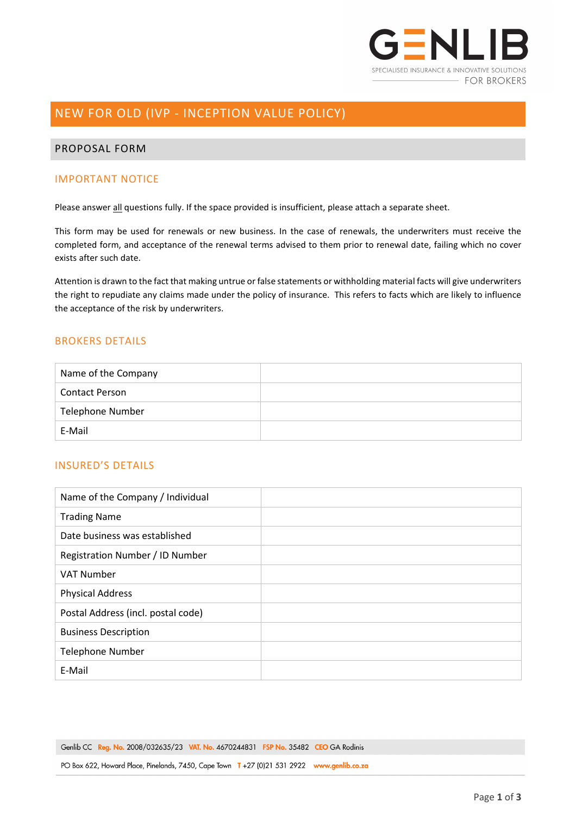

# NEW FOR OLD (IVP - INCEPTION VALUE POLICY)

### PROPOSAL FORM

### IMPORTANT NOTICE

Please answer all questions fully. If the space provided is insufficient, please attach a separate sheet.

This form may be used for renewals or new business. In the case of renewals, the underwriters must receive the completed form, and acceptance of the renewal terms advised to them prior to renewal date, failing which no cover exists after such date.

Attention is drawn to the fact that making untrue or false statements or withholding material facts will give underwriters the right to repudiate any claims made under the policy of insurance. This refers to facts which are likely to influence the acceptance of the risk by underwriters.

## BROKERS DETAILS

| Name of the Company     |  |
|-------------------------|--|
| <b>Contact Person</b>   |  |
| <b>Telephone Number</b> |  |
| E-Mail                  |  |

# INSURED'S DETAILS

| Name of the Company / Individual   |  |
|------------------------------------|--|
| <b>Trading Name</b>                |  |
| Date business was established      |  |
| Registration Number / ID Number    |  |
| <b>VAT Number</b>                  |  |
| <b>Physical Address</b>            |  |
| Postal Address (incl. postal code) |  |
| <b>Business Description</b>        |  |
| <b>Telephone Number</b>            |  |
| E-Mail                             |  |

Genlib CC Reg. No. 2008/032635/23 VAT. No. 4670244831 FSP No. 35482 CEO GA Rodinis

PO Box 622, Howard Place, Pinelands, 7450, Cape Town T +27 (0)21 531 2922 www.genlib.co.za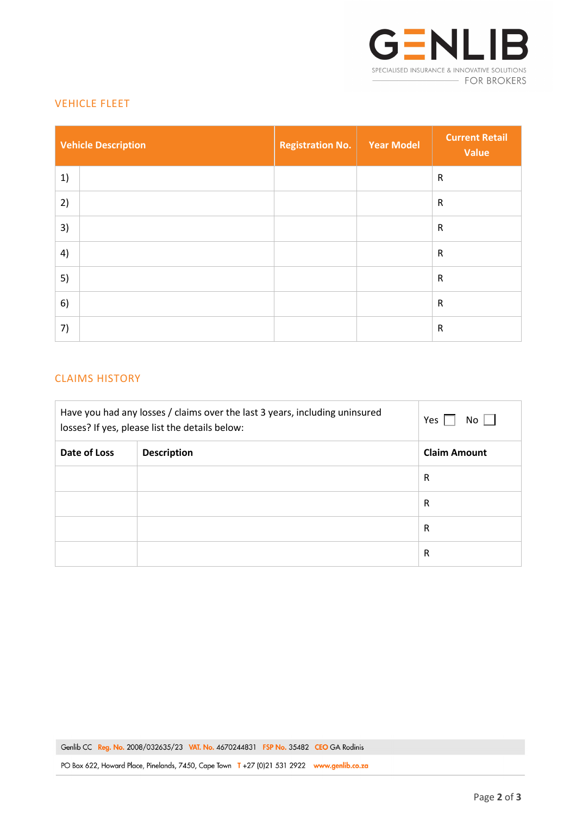

## VEHICLE FLEET

| <b>Vehicle Description</b> | <b>Registration No.</b> | <b>Year Model</b> | <b>Current Retail</b><br>Value |
|----------------------------|-------------------------|-------------------|--------------------------------|
| 1)                         |                         |                   | $\mathsf{R}$                   |
| 2)                         |                         |                   | $\mathsf{R}$                   |
| 3)                         |                         |                   | ${\sf R}$                      |
| 4)                         |                         |                   | ${\sf R}$                      |
| 5)                         |                         |                   | $\mathsf{R}$                   |
| 6)                         |                         |                   | $\mathsf{R}$                   |
| 7)                         |                         |                   | $\mathsf{R}$                   |

# CLAIMS HISTORY

| Have you had any losses / claims over the last 3 years, including uninsured<br>losses? If yes, please list the details below: |                    | Yes<br>$No$ $\Box$  |
|-------------------------------------------------------------------------------------------------------------------------------|--------------------|---------------------|
| Date of Loss                                                                                                                  | <b>Description</b> | <b>Claim Amount</b> |
|                                                                                                                               |                    | R                   |
|                                                                                                                               |                    | R                   |
|                                                                                                                               |                    | $\mathsf{R}$        |
|                                                                                                                               |                    | R                   |

PO Box 622, Howard Place, Pinelands, 7450, Cape Town T +27 (0)21 531 2922 www.genlib.co.za